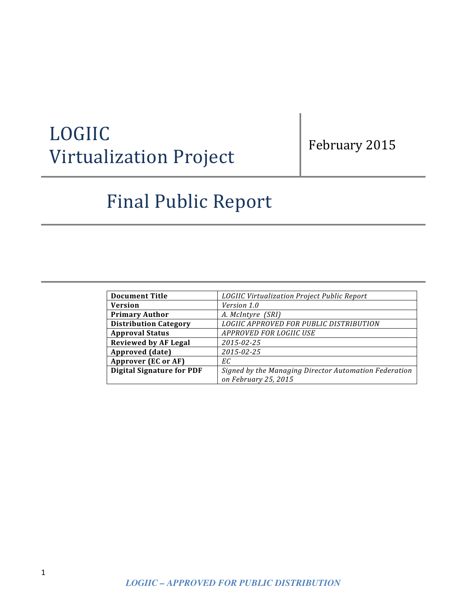# LOGIIC Virtualization Project

## February 2015

# Final Public Report

| <b>Document Title</b>            | LOGIIC Virtualization Project Public Report           |
|----------------------------------|-------------------------------------------------------|
| <b>Version</b>                   | Version 1.0                                           |
| <b>Primary Author</b>            | A. McIntyre (SRI)                                     |
| <b>Distribution Category</b>     | LOGIIC APPROVED FOR PUBLIC DISTRIBUTION               |
| <b>Approval Status</b>           | APPROVED FOR LOGIIC USE                               |
| <b>Reviewed by AF Legal</b>      | 2015-02-25                                            |
| Approved (date)                  | 2015-02-25                                            |
| Approver (EC or AF)              | ЕC                                                    |
| <b>Digital Signature for PDF</b> | Signed by the Managing Director Automation Federation |
|                                  | on February 25, 2015                                  |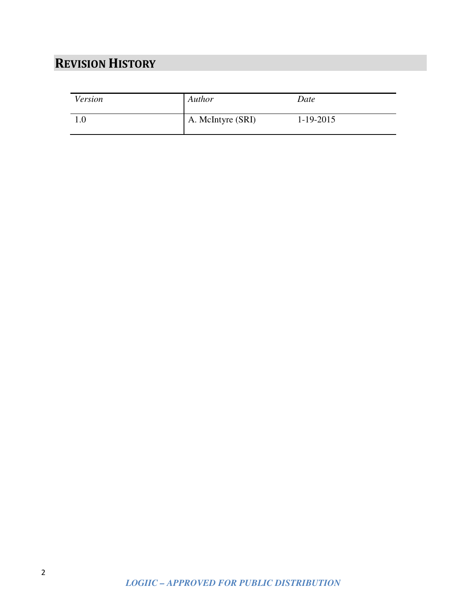## **REVISION HISTORY**

| Version | Author            | Date        |
|---------|-------------------|-------------|
| 1.0     | A. McIntyre (SRI) | $1-19-2015$ |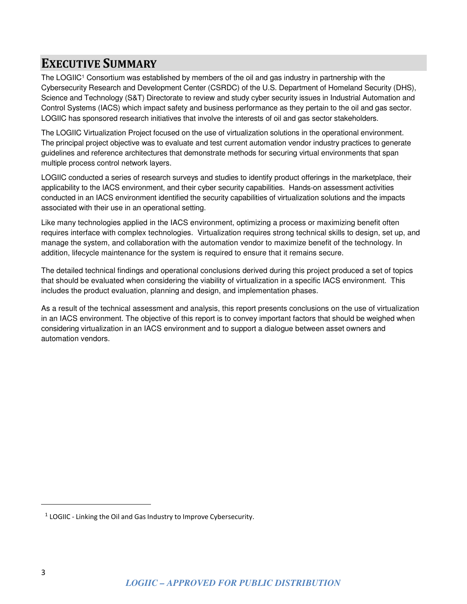### **EXECUTIVE SUMMARY**

The LOGIIC<sup>1</sup> Consortium was established by members of the oil and gas industry in partnership with the Cybersecurity Research and Development Center (CSRDC) of the U.S. Department of Homeland Security (DHS), Science and Technology (S&T) Directorate to review and study cyber security issues in Industrial Automation and Control Systems (IACS) which impact safety and business performance as they pertain to the oil and gas sector. LOGIIC has sponsored research initiatives that involve the interests of oil and gas sector stakeholders.

The LOGIIC Virtualization Project focused on the use of virtualization solutions in the operational environment. The principal project objective was to evaluate and test current automation vendor industry practices to generate guidelines and reference architectures that demonstrate methods for securing virtual environments that span multiple process control network layers.

LOGIIC conducted a series of research surveys and studies to identify product offerings in the marketplace, their applicability to the IACS environment, and their cyber security capabilities. Hands-on assessment activities conducted in an IACS environment identified the security capabilities of virtualization solutions and the impacts associated with their use in an operational setting.

Like many technologies applied in the IACS environment, optimizing a process or maximizing benefit often requires interface with complex technologies. Virtualization requires strong technical skills to design, set up, and manage the system, and collaboration with the automation vendor to maximize benefit of the technology. In addition, lifecycle maintenance for the system is required to ensure that it remains secure.

The detailed technical findings and operational conclusions derived during this project produced a set of topics that should be evaluated when considering the viability of virtualization in a specific IACS environment. This includes the product evaluation, planning and design, and implementation phases.

As a result of the technical assessment and analysis, this report presents conclusions on the use of virtualization in an IACS environment. The objective of this report is to convey important factors that should be weighed when considering virtualization in an IACS environment and to support a dialogue between asset owners and automation vendors.

-

 $1$  LOGIIC - Linking the Oil and Gas Industry to Improve Cybersecurity.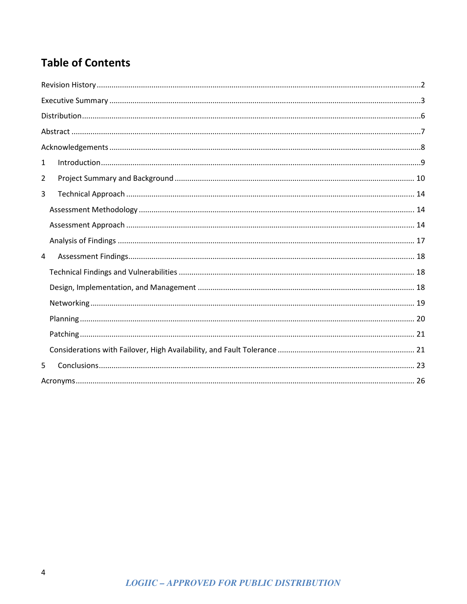## **Table of Contents**

| $\mathbf{1}$   |  |  |  |
|----------------|--|--|--|
| $\overline{2}$ |  |  |  |
| 3              |  |  |  |
|                |  |  |  |
|                |  |  |  |
|                |  |  |  |
| 4              |  |  |  |
|                |  |  |  |
|                |  |  |  |
|                |  |  |  |
|                |  |  |  |
|                |  |  |  |
|                |  |  |  |
| 5              |  |  |  |
|                |  |  |  |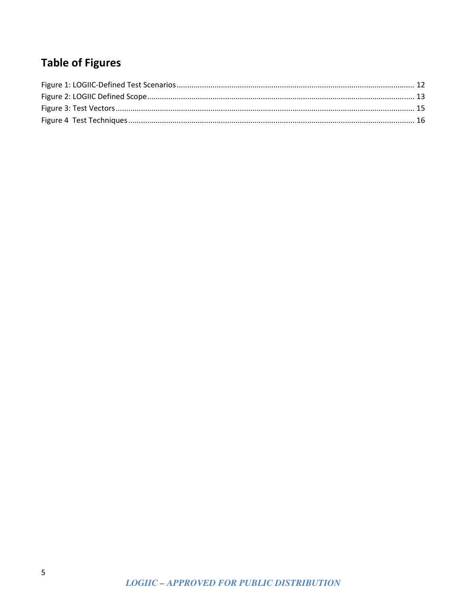## **Table of Figures**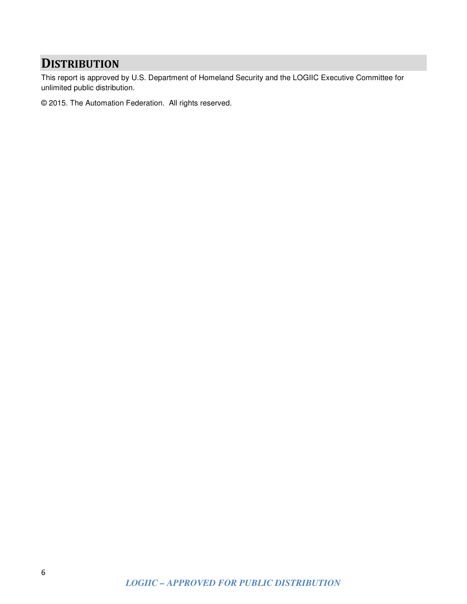### **DISTRIBUTION**

This report is approved by U.S. Department of Homeland Security and the LOGIIC Executive Committee for unlimited public distribution.

© 2015. The Automation Federation. All rights reserved.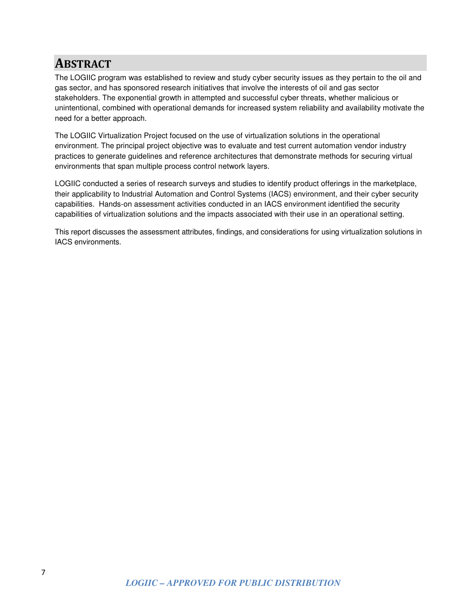### **ABSTRACT**

The LOGIIC program was established to review and study cyber security issues as they pertain to the oil and gas sector, and has sponsored research initiatives that involve the interests of oil and gas sector stakeholders. The exponential growth in attempted and successful cyber threats, whether malicious or unintentional, combined with operational demands for increased system reliability and availability motivate the need for a better approach.

The LOGIIC Virtualization Project focused on the use of virtualization solutions in the operational environment. The principal project objective was to evaluate and test current automation vendor industry practices to generate guidelines and reference architectures that demonstrate methods for securing virtual environments that span multiple process control network layers.

LOGIIC conducted a series of research surveys and studies to identify product offerings in the marketplace, their applicability to Industrial Automation and Control Systems (IACS) environment, and their cyber security capabilities. Hands-on assessment activities conducted in an IACS environment identified the security capabilities of virtualization solutions and the impacts associated with their use in an operational setting.

This report discusses the assessment attributes, findings, and considerations for using virtualization solutions in IACS environments.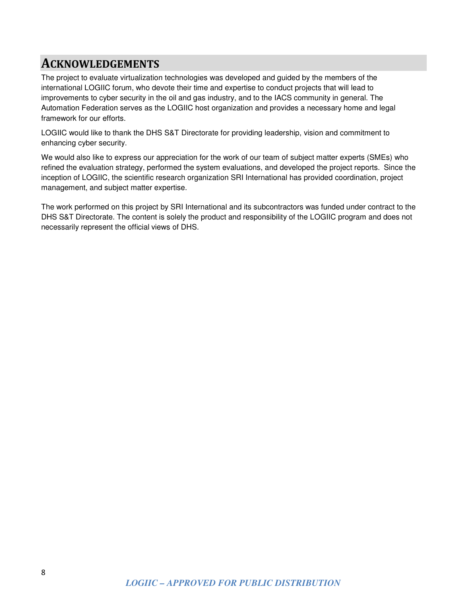### **ACKNOWLEDGEMENTS**

The project to evaluate virtualization technologies was developed and guided by the members of the international LOGIIC forum, who devote their time and expertise to conduct projects that will lead to improvements to cyber security in the oil and gas industry, and to the IACS community in general. The Automation Federation serves as the LOGIIC host organization and provides a necessary home and legal framework for our efforts.

LOGIIC would like to thank the DHS S&T Directorate for providing leadership, vision and commitment to enhancing cyber security.

We would also like to express our appreciation for the work of our team of subject matter experts (SMEs) who refined the evaluation strategy, performed the system evaluations, and developed the project reports. Since the inception of LOGIIC, the scientific research organization SRI International has provided coordination, project management, and subject matter expertise.

The work performed on this project by SRI International and its subcontractors was funded under contract to the DHS S&T Directorate. The content is solely the product and responsibility of the LOGIIC program and does not necessarily represent the official views of DHS.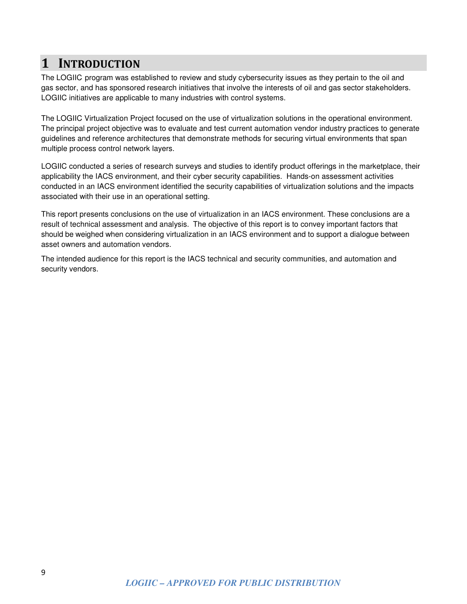### **1 INTRODUCTION**

The LOGIIC program was established to review and study cybersecurity issues as they pertain to the oil and gas sector, and has sponsored research initiatives that involve the interests of oil and gas sector stakeholders. LOGIIC initiatives are applicable to many industries with control systems.

The LOGIIC Virtualization Project focused on the use of virtualization solutions in the operational environment. The principal project objective was to evaluate and test current automation vendor industry practices to generate guidelines and reference architectures that demonstrate methods for securing virtual environments that span multiple process control network layers.

LOGIIC conducted a series of research surveys and studies to identify product offerings in the marketplace, their applicability the IACS environment, and their cyber security capabilities. Hands-on assessment activities conducted in an IACS environment identified the security capabilities of virtualization solutions and the impacts associated with their use in an operational setting.

This report presents conclusions on the use of virtualization in an IACS environment. These conclusions are a result of technical assessment and analysis. The objective of this report is to convey important factors that should be weighed when considering virtualization in an IACS environment and to support a dialogue between asset owners and automation vendors.

The intended audience for this report is the IACS technical and security communities, and automation and security vendors.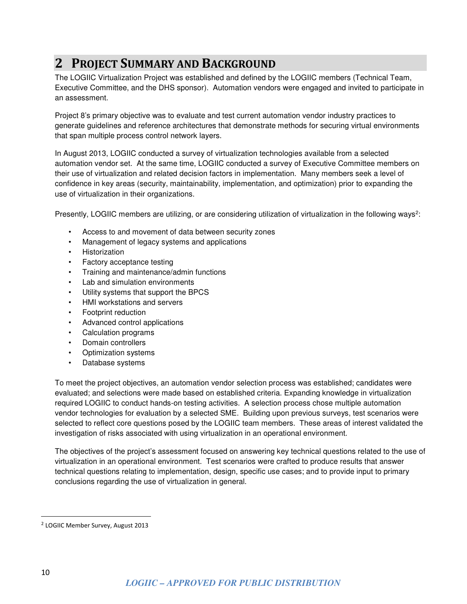## **2 PROJECT SUMMARY AND BACKGROUND**

The LOGIIC Virtualization Project was established and defined by the LOGIIC members (Technical Team, Executive Committee, and the DHS sponsor). Automation vendors were engaged and invited to participate in an assessment.

Project 8's primary objective was to evaluate and test current automation vendor industry practices to generate guidelines and reference architectures that demonstrate methods for securing virtual environments that span multiple process control network layers.

In August 2013, LOGIIC conducted a survey of virtualization technologies available from a selected automation vendor set. At the same time, LOGIIC conducted a survey of Executive Committee members on their use of virtualization and related decision factors in implementation. Many members seek a level of confidence in key areas (security, maintainability, implementation, and optimization) prior to expanding the use of virtualization in their organizations.

Presently, LOGIIC members are utilizing, or are considering utilization of virtualization in the following ways<sup>2</sup>:

- Access to and movement of data between security zones
- Management of legacy systems and applications
- Historization
- Factory acceptance testing
- Training and maintenance/admin functions
- Lab and simulation environments
- Utility systems that support the BPCS
- HMI workstations and servers
- Footprint reduction
- Advanced control applications
- Calculation programs
- Domain controllers
- Optimization systems
- Database systems

To meet the project objectives, an automation vendor selection process was established; candidates were evaluated; and selections were made based on established criteria. Expanding knowledge in virtualization required LOGIIC to conduct hands-on testing activities. A selection process chose multiple automation vendor technologies for evaluation by a selected SME. Building upon previous surveys, test scenarios were selected to reflect core questions posed by the LOGIIC team members. These areas of interest validated the investigation of risks associated with using virtualization in an operational environment.

The objectives of the project's assessment focused on answering key technical questions related to the use of virtualization in an operational environment. Test scenarios were crafted to produce results that answer technical questions relating to implementation, design, specific use cases; and to provide input to primary conclusions regarding the use of virtualization in general.

<u>.</u>

<sup>&</sup>lt;sup>2</sup> LOGIIC Member Survey, August 2013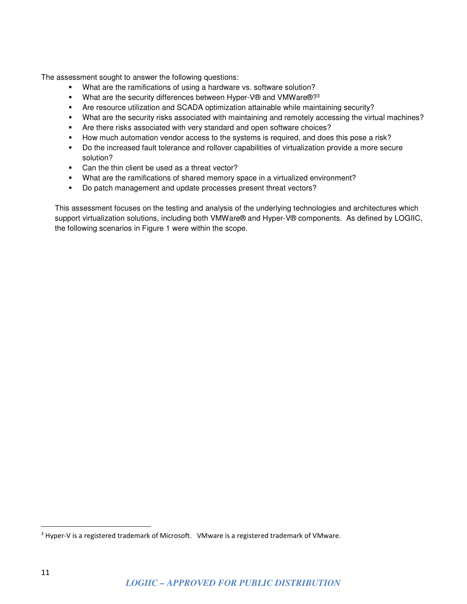The assessment sought to answer the following questions:

- What are the ramifications of using a hardware vs. software solution?
- What are the security differences between Hyper-V® and VMWare®?<sup>3</sup>
- Are resource utilization and SCADA optimization attainable while maintaining security?
- What are the security risks associated with maintaining and remotely accessing the virtual machines?
- Are there risks associated with very standard and open software choices?
- How much automation vendor access to the systems is required, and does this pose a risk?
- Do the increased fault tolerance and rollover capabilities of virtualization provide a more secure solution?
- Can the thin client be used as a threat vector?
- What are the ramifications of shared memory space in a virtualized environment?
- Do patch management and update processes present threat vectors?

This assessment focuses on the testing and analysis of the underlying technologies and architectures which support virtualization solutions, including both VMWare® and Hyper-V® components. As defined by LOGIIC, the following scenarios in Figure 1 were within the scope.

<u>.</u>

<sup>&</sup>lt;sup>3</sup> Hyper-V is a registered trademark of Microsoft. VMware is a registered trademark of VMware.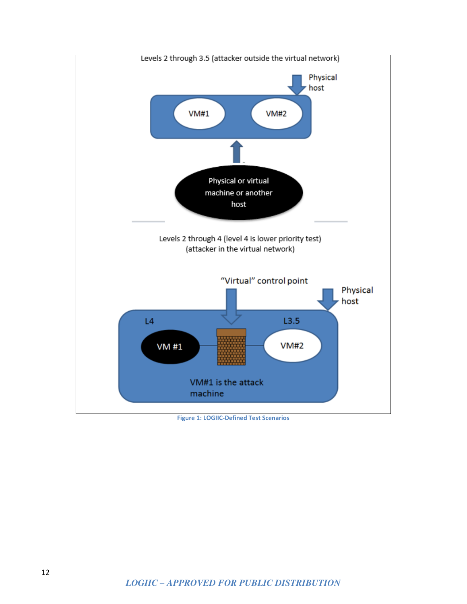

#### **Figure 1: LOGIIC-Defined Test Scenarios**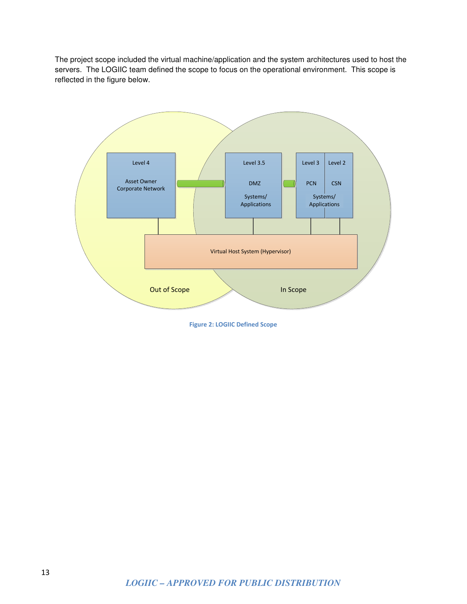The project scope included the virtual machine/application and the system architectures used to host the servers. The LOGIIC team defined the scope to focus on the operational environment. This scope is reflected in the figure below.



**Figure 2: LOGIIC Defined Scope**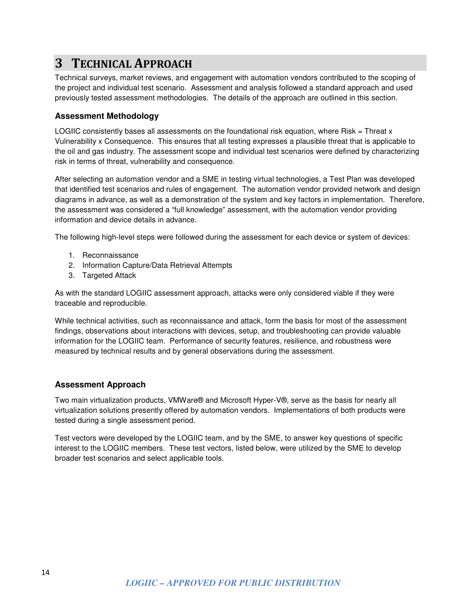## **3 TECHNICAL APPROACH**

Technical surveys, market reviews, and engagement with automation vendors contributed to the scoping of the project and individual test scenario. Assessment and analysis followed a standard approach and used previously tested assessment methodologies. The details of the approach are outlined in this section.

#### **Assessment Methodology**

LOGIIC consistently bases all assessments on the foundational risk equation, where Risk = Threat x Vulnerability x Consequence. This ensures that all testing expresses a plausible threat that is applicable to the oil and gas industry. The assessment scope and individual test scenarios were defined by characterizing risk in terms of threat, vulnerability and consequence.

After selecting an automation vendor and a SME in testing virtual technologies, a Test Plan was developed that identified test scenarios and rules of engagement. The automation vendor provided network and design diagrams in advance, as well as a demonstration of the system and key factors in implementation. Therefore, the assessment was considered a "full knowledge" assessment, with the automation vendor providing information and device details in advance.

The following high-level steps were followed during the assessment for each device or system of devices:

- 1. Reconnaissance
- 2. Information Capture/Data Retrieval Attempts
- 3. Targeted Attack

As with the standard LOGIIC assessment approach, attacks were only considered viable if they were traceable and reproducible.

While technical activities, such as reconnaissance and attack, form the basis for most of the assessment findings, observations about interactions with devices, setup, and troubleshooting can provide valuable information for the LOGIIC team. Performance of security features, resilience, and robustness were measured by technical results and by general observations during the assessment.

#### **Assessment Approach**

Two main virtualization products, VMWare® and Microsoft Hyper-V®, serve as the basis for nearly all virtualization solutions presently offered by automation vendors. Implementations of both products were tested during a single assessment period.

Test vectors were developed by the LOGIIC team, and by the SME, to answer key questions of specific interest to the LOGIIC members. These test vectors, listed below, were utilized by the SME to develop broader test scenarios and select applicable tools.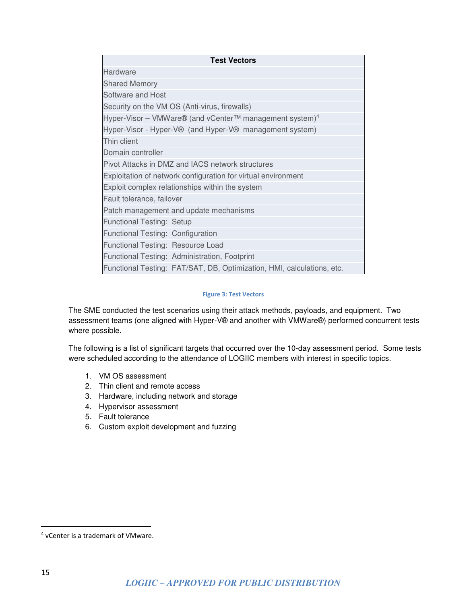| <b>Test Vectors</b>                                                    |  |  |
|------------------------------------------------------------------------|--|--|
| Hardware                                                               |  |  |
| <b>Shared Memory</b>                                                   |  |  |
| Software and Host                                                      |  |  |
| Security on the VM OS (Anti-virus, firewalls)                          |  |  |
| Hyper-Visor – VMWare® (and vCenter™ management system) <sup>4</sup>    |  |  |
| Hyper-Visor - Hyper-V® (and Hyper-V® management system)                |  |  |
| Thin client                                                            |  |  |
| Domain controller                                                      |  |  |
| Pivot Attacks in DMZ and IACS network structures                       |  |  |
| Exploitation of network configuration for virtual environment          |  |  |
| Exploit complex relationships within the system                        |  |  |
| Fault tolerance, failover                                              |  |  |
| Patch management and update mechanisms                                 |  |  |
| <b>Functional Testing: Setup</b>                                       |  |  |
| Functional Testing: Configuration                                      |  |  |
| Functional Testing: Resource Load                                      |  |  |
| Functional Testing: Administration, Footprint                          |  |  |
| Functional Testing: FAT/SAT, DB, Optimization, HMI, calculations, etc. |  |  |

#### **Figure 3: Test Vectors**

The SME conducted the test scenarios using their attack methods, payloads, and equipment. Two assessment teams (one aligned with Hyper-V® and another with VMWare®) performed concurrent tests where possible.

The following is a list of significant targets that occurred over the 10-day assessment period. Some tests were scheduled according to the attendance of LOGIIC members with interest in specific topics.

- 1. VM OS assessment
- 2. Thin client and remote access
- 3. Hardware, including network and storage
- 4. Hypervisor assessment
- 5. Fault tolerance
- 6. Custom exploit development and fuzzing

<u>.</u>

<sup>4</sup> vCenter is a trademark of VMware.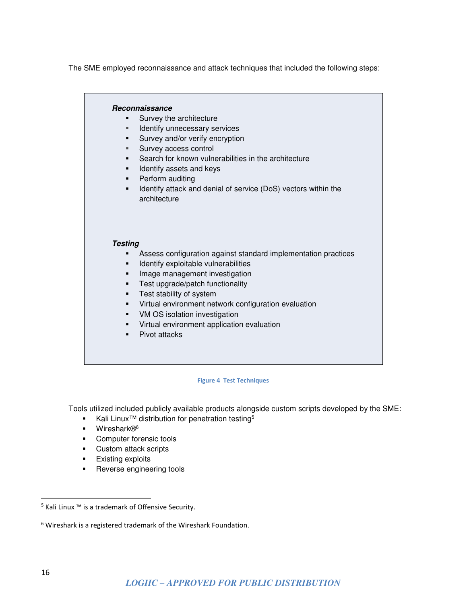The SME employed reconnaissance and attack techniques that included the following steps:

#### **Reconnaissance**

- **Survey the architecture**
- **IDENTIFY UNDECESSARY SERVICES**
- **Survey and/or verify encryption**
- **Survey access control**
- **Search for known vulnerabilities in the architecture**
- **If all identify assets and keys**
- Perform auditing
- **IDENT** Identify attack and denial of service (DoS) vectors within the architecture

#### **Testing**

- Assess configuration against standard implementation practices
- **IDENTIFY EXPLOITABLE VUINETABILITIES**
- **Image management investigation**
- **Test upgrade/patch functionality**
- **Test stability of system**
- Virtual environment network configuration evaluation
- VM OS isolation investigation
- Virtual environment application evaluation
- Pivot attacks

#### **Figure 4 Test Techniques**

Tools utilized included publicly available products alongside custom scripts developed by the SME:

- Kali Linux<sup>™</sup> distribution for penetration testing<sup>5</sup>
- Wireshark®<sup>6</sup>
- **Computer forensic tools**
- Custom attack scripts
- **Existing exploits**
- **Reverse engineering tools**

<u>.</u>

<sup>5</sup> Kali Linux ™ is a trademark of Offensive Security.

<sup>&</sup>lt;sup>6</sup> Wireshark is a registered trademark of the Wireshark Foundation.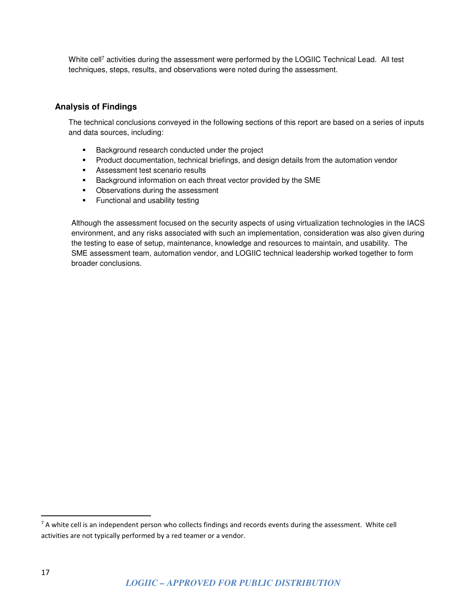White cell<sup>7</sup> activities during the assessment were performed by the LOGIIC Technical Lead. All test techniques, steps, results, and observations were noted during the assessment.

#### **Analysis of Findings**

The technical conclusions conveyed in the following sections of this report are based on a series of inputs and data sources, including:

- **Background research conducted under the project**
- **Product documentation, technical briefings, and design details from the automation vendor**
- **Assessment test scenario results**
- **Background information on each threat vector provided by the SME**
- Observations during the assessment
- **Functional and usability testing**

Although the assessment focused on the security aspects of using virtualization technologies in the IACS environment, and any risks associated with such an implementation, consideration was also given during the testing to ease of setup, maintenance, knowledge and resources to maintain, and usability. The SME assessment team, automation vendor, and LOGIIC technical leadership worked together to form broader conclusions.

-

<sup>&</sup>lt;sup>7</sup> A white cell is an independent person who collects findings and records events during the assessment. White cell activities are not typically performed by a red teamer or a vendor.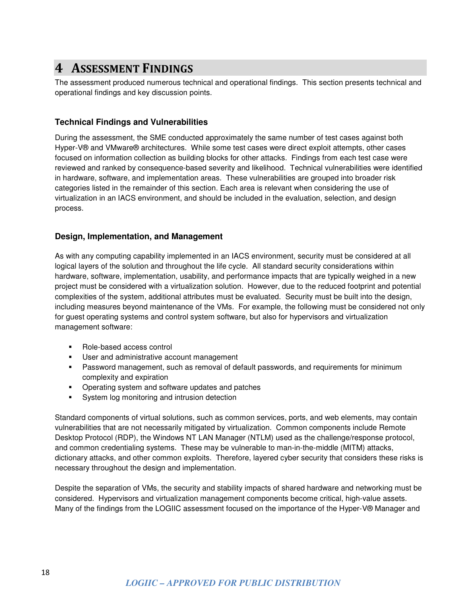### **4 ASSESSMENT FINDINGS**

The assessment produced numerous technical and operational findings. This section presents technical and operational findings and key discussion points.

#### **Technical Findings and Vulnerabilities**

During the assessment, the SME conducted approximately the same number of test cases against both Hyper-V® and VMware® architectures. While some test cases were direct exploit attempts, other cases focused on information collection as building blocks for other attacks. Findings from each test case were reviewed and ranked by consequence-based severity and likelihood. Technical vulnerabilities were identified in hardware, software, and implementation areas. These vulnerabilities are grouped into broader risk categories listed in the remainder of this section. Each area is relevant when considering the use of virtualization in an IACS environment, and should be included in the evaluation, selection, and design process.

#### **Design, Implementation, and Management**

As with any computing capability implemented in an IACS environment, security must be considered at all logical layers of the solution and throughout the life cycle. All standard security considerations within hardware, software, implementation, usability, and performance impacts that are typically weighed in a new project must be considered with a virtualization solution. However, due to the reduced footprint and potential complexities of the system, additional attributes must be evaluated. Security must be built into the design, including measures beyond maintenance of the VMs. For example, the following must be considered not only for guest operating systems and control system software, but also for hypervisors and virtualization management software:

- Role-based access control
- **User and administrative account management**
- Password management, such as removal of default passwords, and requirements for minimum complexity and expiration
- **•** Operating system and software updates and patches
- **System log monitoring and intrusion detection**

Standard components of virtual solutions, such as common services, ports, and web elements, may contain vulnerabilities that are not necessarily mitigated by virtualization. Common components include Remote Desktop Protocol (RDP), the Windows NT LAN Manager (NTLM) used as the challenge/response protocol, and common credentialing systems. These may be vulnerable to man-in-the-middle (MITM) attacks, dictionary attacks, and other common exploits. Therefore, layered cyber security that considers these risks is necessary throughout the design and implementation.

Despite the separation of VMs, the security and stability impacts of shared hardware and networking must be considered. Hypervisors and virtualization management components become critical, high-value assets. Many of the findings from the LOGIIC assessment focused on the importance of the Hyper-V® Manager and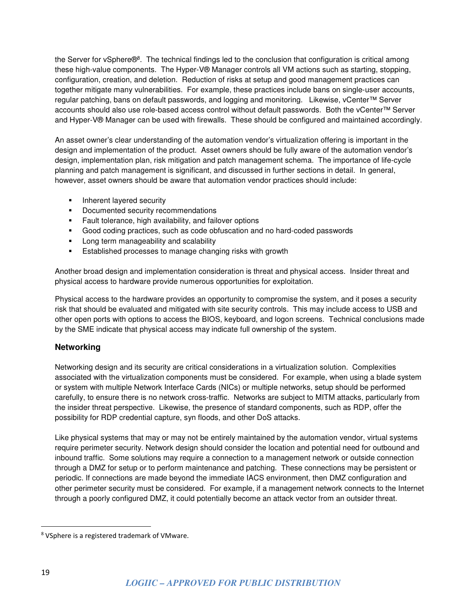the Server for vSphere®<sup>8</sup>. The technical findings led to the conclusion that configuration is critical among these high-value components. The Hyper-V® Manager controls all VM actions such as starting, stopping, configuration, creation, and deletion. Reduction of risks at setup and good management practices can together mitigate many vulnerabilities. For example, these practices include bans on single-user accounts, regular patching, bans on default passwords, and logging and monitoring. Likewise, vCenter™ Server accounts should also use role-based access control without default passwords. Both the vCenter™ Server and Hyper-V® Manager can be used with firewalls. These should be configured and maintained accordingly.

An asset owner's clear understanding of the automation vendor's virtualization offering is important in the design and implementation of the product. Asset owners should be fully aware of the automation vendor's design, implementation plan, risk mitigation and patch management schema. The importance of life-cycle planning and patch management is significant, and discussed in further sections in detail. In general, however, asset owners should be aware that automation vendor practices should include:

- **Inherent layered security**
- **•** Documented security recommendations
- **Fault tolerance, high availability, and failover options**
- Good coding practices, such as code obfuscation and no hard-coded passwords
- **Long term manageability and scalability**
- **E** Established processes to manage changing risks with growth

Another broad design and implementation consideration is threat and physical access. Insider threat and physical access to hardware provide numerous opportunities for exploitation.

Physical access to the hardware provides an opportunity to compromise the system, and it poses a security risk that should be evaluated and mitigated with site security controls. This may include access to USB and other open ports with options to access the BIOS, keyboard, and logon screens. Technical conclusions made by the SME indicate that physical access may indicate full ownership of the system.

#### **Networking**

Networking design and its security are critical considerations in a virtualization solution. Complexities associated with the virtualization components must be considered. For example, when using a blade system or system with multiple Network Interface Cards (NICs) or multiple networks, setup should be performed carefully, to ensure there is no network cross-traffic. Networks are subject to MITM attacks, particularly from the insider threat perspective. Likewise, the presence of standard components, such as RDP, offer the possibility for RDP credential capture, syn floods, and other DoS attacks.

Like physical systems that may or may not be entirely maintained by the automation vendor, virtual systems require perimeter security. Network design should consider the location and potential need for outbound and inbound traffic. Some solutions may require a connection to a management network or outside connection through a DMZ for setup or to perform maintenance and patching. These connections may be persistent or periodic. If connections are made beyond the immediate IACS environment, then DMZ configuration and other perimeter security must be considered. For example, if a management network connects to the Internet through a poorly configured DMZ, it could potentially become an attack vector from an outsider threat.

<u>.</u>

<sup>&</sup>lt;sup>8</sup> VSphere is a registered trademark of VMware.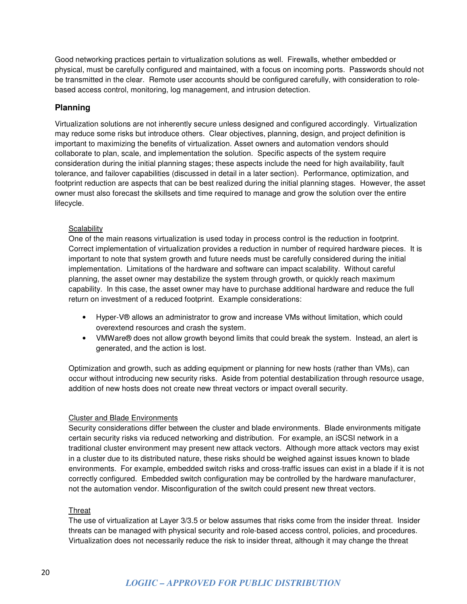Good networking practices pertain to virtualization solutions as well. Firewalls, whether embedded or physical, must be carefully configured and maintained, with a focus on incoming ports. Passwords should not be transmitted in the clear. Remote user accounts should be configured carefully, with consideration to rolebased access control, monitoring, log management, and intrusion detection.

#### **Planning**

Virtualization solutions are not inherently secure unless designed and configured accordingly. Virtualization may reduce some risks but introduce others. Clear objectives, planning, design, and project definition is important to maximizing the benefits of virtualization. Asset owners and automation vendors should collaborate to plan, scale, and implementation the solution. Specific aspects of the system require consideration during the initial planning stages; these aspects include the need for high availability, fault tolerance, and failover capabilities (discussed in detail in a later section). Performance, optimization, and footprint reduction are aspects that can be best realized during the initial planning stages. However, the asset owner must also forecast the skillsets and time required to manage and grow the solution over the entire lifecycle.

#### **Scalability**

One of the main reasons virtualization is used today in process control is the reduction in footprint. Correct implementation of virtualization provides a reduction in number of required hardware pieces. It is important to note that system growth and future needs must be carefully considered during the initial implementation. Limitations of the hardware and software can impact scalability. Without careful planning, the asset owner may destabilize the system through growth, or quickly reach maximum capability. In this case, the asset owner may have to purchase additional hardware and reduce the full return on investment of a reduced footprint. Example considerations:

- Hyper-V® allows an administrator to grow and increase VMs without limitation, which could overextend resources and crash the system.
- VMWare® does not allow growth beyond limits that could break the system. Instead, an alert is generated, and the action is lost.

Optimization and growth, such as adding equipment or planning for new hosts (rather than VMs), can occur without introducing new security risks. Aside from potential destabilization through resource usage, addition of new hosts does not create new threat vectors or impact overall security.

#### Cluster and Blade Environments

Security considerations differ between the cluster and blade environments. Blade environments mitigate certain security risks via reduced networking and distribution. For example, an iSCSI network in a traditional cluster environment may present new attack vectors. Although more attack vectors may exist in a cluster due to its distributed nature, these risks should be weighed against issues known to blade environments. For example, embedded switch risks and cross-traffic issues can exist in a blade if it is not correctly configured. Embedded switch configuration may be controlled by the hardware manufacturer, not the automation vendor. Misconfiguration of the switch could present new threat vectors.

#### **Threat**

The use of virtualization at Layer 3/3.5 or below assumes that risks come from the insider threat. Insider threats can be managed with physical security and role-based access control, policies, and procedures. Virtualization does not necessarily reduce the risk to insider threat, although it may change the threat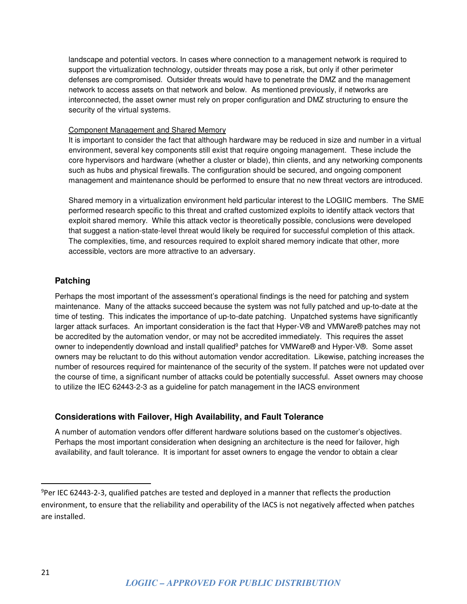landscape and potential vectors. In cases where connection to a management network is required to support the virtualization technology, outsider threats may pose a risk, but only if other perimeter defenses are compromised. Outsider threats would have to penetrate the DMZ and the management network to access assets on that network and below. As mentioned previously, if networks are interconnected, the asset owner must rely on proper configuration and DMZ structuring to ensure the security of the virtual systems.

#### Component Management and Shared Memory

It is important to consider the fact that although hardware may be reduced in size and number in a virtual environment, several key components still exist that require ongoing management. These include the core hypervisors and hardware (whether a cluster or blade), thin clients, and any networking components such as hubs and physical firewalls. The configuration should be secured, and ongoing component management and maintenance should be performed to ensure that no new threat vectors are introduced.

Shared memory in a virtualization environment held particular interest to the LOGIIC members. The SME performed research specific to this threat and crafted customized exploits to identify attack vectors that exploit shared memory. While this attack vector is theoretically possible, conclusions were developed that suggest a nation-state-level threat would likely be required for successful completion of this attack. The complexities, time, and resources required to exploit shared memory indicate that other, more accessible, vectors are more attractive to an adversary.

#### **Patching**

Perhaps the most important of the assessment's operational findings is the need for patching and system maintenance. Many of the attacks succeed because the system was not fully patched and up-to-date at the time of testing. This indicates the importance of up-to-date patching. Unpatched systems have significantly larger attack surfaces. An important consideration is the fact that Hyper-V® and VMWare® patches may not be accredited by the automation vendor, or may not be accredited immediately. This requires the asset owner to independently download and install qualified<sup>9</sup> patches for VMWare® and Hyper-V®. Some asset owners may be reluctant to do this without automation vendor accreditation. Likewise, patching increases the number of resources required for maintenance of the security of the system. If patches were not updated over the course of time, a significant number of attacks could be potentially successful. Asset owners may choose to utilize the IEC 62443-2-3 as a guideline for patch management in the IACS environment

#### **Considerations with Failover, High Availability, and Fault Tolerance**

A number of automation vendors offer different hardware solutions based on the customer's objectives. Perhaps the most important consideration when designing an architecture is the need for failover, high availability, and fault tolerance. It is important for asset owners to engage the vendor to obtain a clear

-

<sup>9</sup>Per IEC 62443-2-3, qualified patches are tested and deployed in a manner that reflects the production environment, to ensure that the reliability and operability of the IACS is not negatively affected when patches are installed.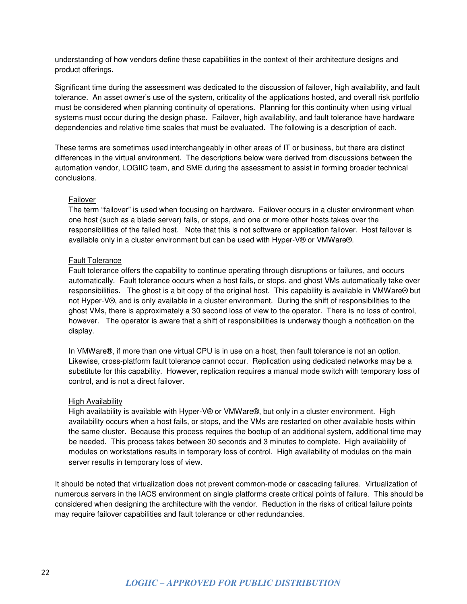understanding of how vendors define these capabilities in the context of their architecture designs and product offerings.

Significant time during the assessment was dedicated to the discussion of failover, high availability, and fault tolerance. An asset owner's use of the system, criticality of the applications hosted, and overall risk portfolio must be considered when planning continuity of operations. Planning for this continuity when using virtual systems must occur during the design phase. Failover, high availability, and fault tolerance have hardware dependencies and relative time scales that must be evaluated. The following is a description of each.

These terms are sometimes used interchangeably in other areas of IT or business, but there are distinct differences in the virtual environment. The descriptions below were derived from discussions between the automation vendor, LOGIIC team, and SME during the assessment to assist in forming broader technical conclusions.

#### Failover

The term "failover" is used when focusing on hardware. Failover occurs in a cluster environment when one host (such as a blade server) fails, or stops, and one or more other hosts takes over the responsibilities of the failed host. Note that this is not software or application failover. Host failover is available only in a cluster environment but can be used with Hyper-V® or VMWare®.

#### Fault Tolerance

Fault tolerance offers the capability to continue operating through disruptions or failures, and occurs automatically. Fault tolerance occurs when a host fails, or stops, and ghost VMs automatically take over responsibilities. The ghost is a bit copy of the original host. This capability is available in VMWare® but not Hyper-V®, and is only available in a cluster environment. During the shift of responsibilities to the ghost VMs, there is approximately a 30 second loss of view to the operator. There is no loss of control, however. The operator is aware that a shift of responsibilities is underway though a notification on the display.

In VMWare®, if more than one virtual CPU is in use on a host, then fault tolerance is not an option. Likewise, cross-platform fault tolerance cannot occur. Replication using dedicated networks may be a substitute for this capability. However, replication requires a manual mode switch with temporary loss of control, and is not a direct failover.

#### High Availability

High availability is available with Hyper-V® or VMWare®, but only in a cluster environment. High availability occurs when a host fails, or stops, and the VMs are restarted on other available hosts within the same cluster. Because this process requires the bootup of an additional system, additional time may be needed. This process takes between 30 seconds and 3 minutes to complete. High availability of modules on workstations results in temporary loss of control. High availability of modules on the main server results in temporary loss of view.

It should be noted that virtualization does not prevent common-mode or cascading failures. Virtualization of numerous servers in the IACS environment on single platforms create critical points of failure. This should be considered when designing the architecture with the vendor. Reduction in the risks of critical failure points may require failover capabilities and fault tolerance or other redundancies.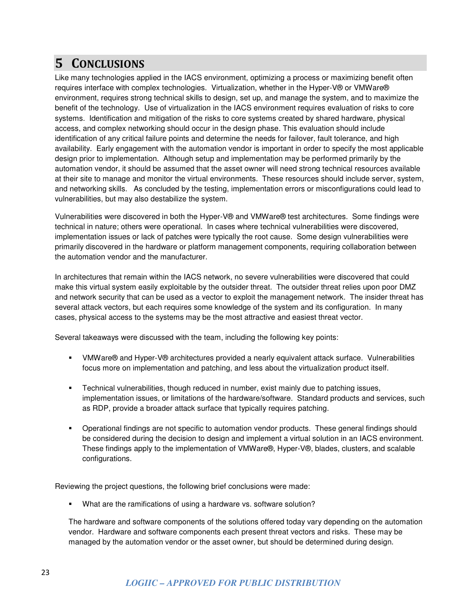## **5 CONCLUSIONS**

Like many technologies applied in the IACS environment, optimizing a process or maximizing benefit often requires interface with complex technologies. Virtualization, whether in the Hyper-V® or VMWare® environment, requires strong technical skills to design, set up, and manage the system, and to maximize the benefit of the technology. Use of virtualization in the IACS environment requires evaluation of risks to core systems. Identification and mitigation of the risks to core systems created by shared hardware, physical access, and complex networking should occur in the design phase. This evaluation should include identification of any critical failure points and determine the needs for failover, fault tolerance, and high availability. Early engagement with the automation vendor is important in order to specify the most applicable design prior to implementation. Although setup and implementation may be performed primarily by the automation vendor, it should be assumed that the asset owner will need strong technical resources available at their site to manage and monitor the virtual environments. These resources should include server, system, and networking skills. As concluded by the testing, implementation errors or misconfigurations could lead to vulnerabilities, but may also destabilize the system.

Vulnerabilities were discovered in both the Hyper-V® and VMWare® test architectures. Some findings were technical in nature; others were operational. In cases where technical vulnerabilities were discovered, implementation issues or lack of patches were typically the root cause. Some design vulnerabilities were primarily discovered in the hardware or platform management components, requiring collaboration between the automation vendor and the manufacturer.

In architectures that remain within the IACS network, no severe vulnerabilities were discovered that could make this virtual system easily exploitable by the outsider threat. The outsider threat relies upon poor DMZ and network security that can be used as a vector to exploit the management network. The insider threat has several attack vectors, but each requires some knowledge of the system and its configuration. In many cases, physical access to the systems may be the most attractive and easiest threat vector.

Several takeaways were discussed with the team, including the following key points:

- VMWare® and Hyper-V® architectures provided a nearly equivalent attack surface. Vulnerabilities focus more on implementation and patching, and less about the virtualization product itself.
- Technical vulnerabilities, though reduced in number, exist mainly due to patching issues, implementation issues, or limitations of the hardware/software. Standard products and services, such as RDP, provide a broader attack surface that typically requires patching.
- Operational findings are not specific to automation vendor products. These general findings should be considered during the decision to design and implement a virtual solution in an IACS environment. These findings apply to the implementation of VMWare®, Hyper-V®, blades, clusters, and scalable configurations.

Reviewing the project questions, the following brief conclusions were made:

What are the ramifications of using a hardware vs. software solution?

The hardware and software components of the solutions offered today vary depending on the automation vendor. Hardware and software components each present threat vectors and risks. These may be managed by the automation vendor or the asset owner, but should be determined during design.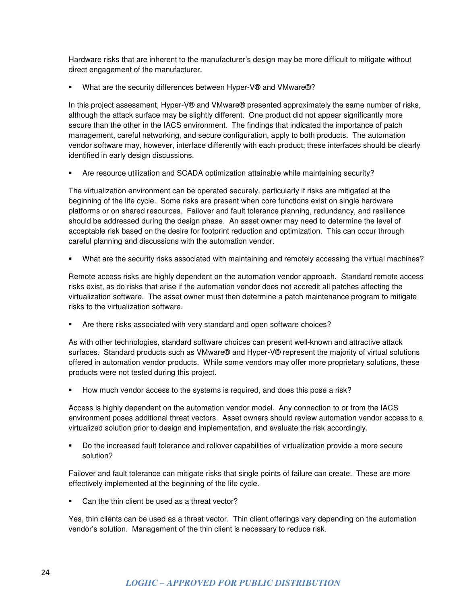Hardware risks that are inherent to the manufacturer's design may be more difficult to mitigate without direct engagement of the manufacturer.

What are the security differences between Hyper-V® and VMware®?

In this project assessment, Hyper-V® and VMware® presented approximately the same number of risks, although the attack surface may be slightly different. One product did not appear significantly more secure than the other in the IACS environment. The findings that indicated the importance of patch management, careful networking, and secure configuration, apply to both products. The automation vendor software may, however, interface differently with each product; these interfaces should be clearly identified in early design discussions.

Are resource utilization and SCADA optimization attainable while maintaining security?

The virtualization environment can be operated securely, particularly if risks are mitigated at the beginning of the life cycle. Some risks are present when core functions exist on single hardware platforms or on shared resources. Failover and fault tolerance planning, redundancy, and resilience should be addressed during the design phase. An asset owner may need to determine the level of acceptable risk based on the desire for footprint reduction and optimization. This can occur through careful planning and discussions with the automation vendor.

What are the security risks associated with maintaining and remotely accessing the virtual machines?

Remote access risks are highly dependent on the automation vendor approach. Standard remote access risks exist, as do risks that arise if the automation vendor does not accredit all patches affecting the virtualization software. The asset owner must then determine a patch maintenance program to mitigate risks to the virtualization software.

Are there risks associated with very standard and open software choices?

As with other technologies, standard software choices can present well-known and attractive attack surfaces. Standard products such as VMware® and Hyper-V® represent the majority of virtual solutions offered in automation vendor products. While some vendors may offer more proprietary solutions, these products were not tested during this project.

How much vendor access to the systems is required, and does this pose a risk?

Access is highly dependent on the automation vendor model. Any connection to or from the IACS environment poses additional threat vectors. Asset owners should review automation vendor access to a virtualized solution prior to design and implementation, and evaluate the risk accordingly.

 Do the increased fault tolerance and rollover capabilities of virtualization provide a more secure solution?

Failover and fault tolerance can mitigate risks that single points of failure can create. These are more effectively implemented at the beginning of the life cycle.

Can the thin client be used as a threat vector?

Yes, thin clients can be used as a threat vector. Thin client offerings vary depending on the automation vendor's solution. Management of the thin client is necessary to reduce risk.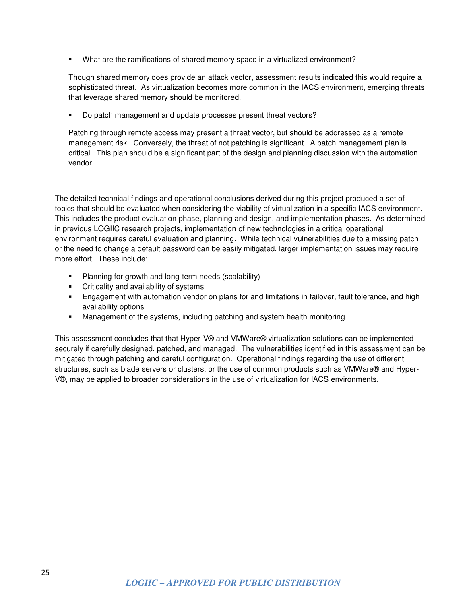What are the ramifications of shared memory space in a virtualized environment?

Though shared memory does provide an attack vector, assessment results indicated this would require a sophisticated threat. As virtualization becomes more common in the IACS environment, emerging threats that leverage shared memory should be monitored.

Do patch management and update processes present threat vectors?

Patching through remote access may present a threat vector, but should be addressed as a remote management risk. Conversely, the threat of not patching is significant. A patch management plan is critical. This plan should be a significant part of the design and planning discussion with the automation vendor.

The detailed technical findings and operational conclusions derived during this project produced a set of topics that should be evaluated when considering the viability of virtualization in a specific IACS environment. This includes the product evaluation phase, planning and design, and implementation phases. As determined in previous LOGIIC research projects, implementation of new technologies in a critical operational environment requires careful evaluation and planning. While technical vulnerabilities due to a missing patch or the need to change a default password can be easily mitigated, larger implementation issues may require more effort. These include:

- **Planning for growth and long-term needs (scalability)**
- **•** Criticality and availability of systems
- Engagement with automation vendor on plans for and limitations in failover, fault tolerance, and high availability options
- Management of the systems, including patching and system health monitoring

This assessment concludes that that Hyper-V® and VMWare® virtualization solutions can be implemented securely if carefully designed, patched, and managed. The vulnerabilities identified in this assessment can be mitigated through patching and careful configuration. Operational findings regarding the use of different structures, such as blade servers or clusters, or the use of common products such as VMWare® and Hyper-V®, may be applied to broader considerations in the use of virtualization for IACS environments.